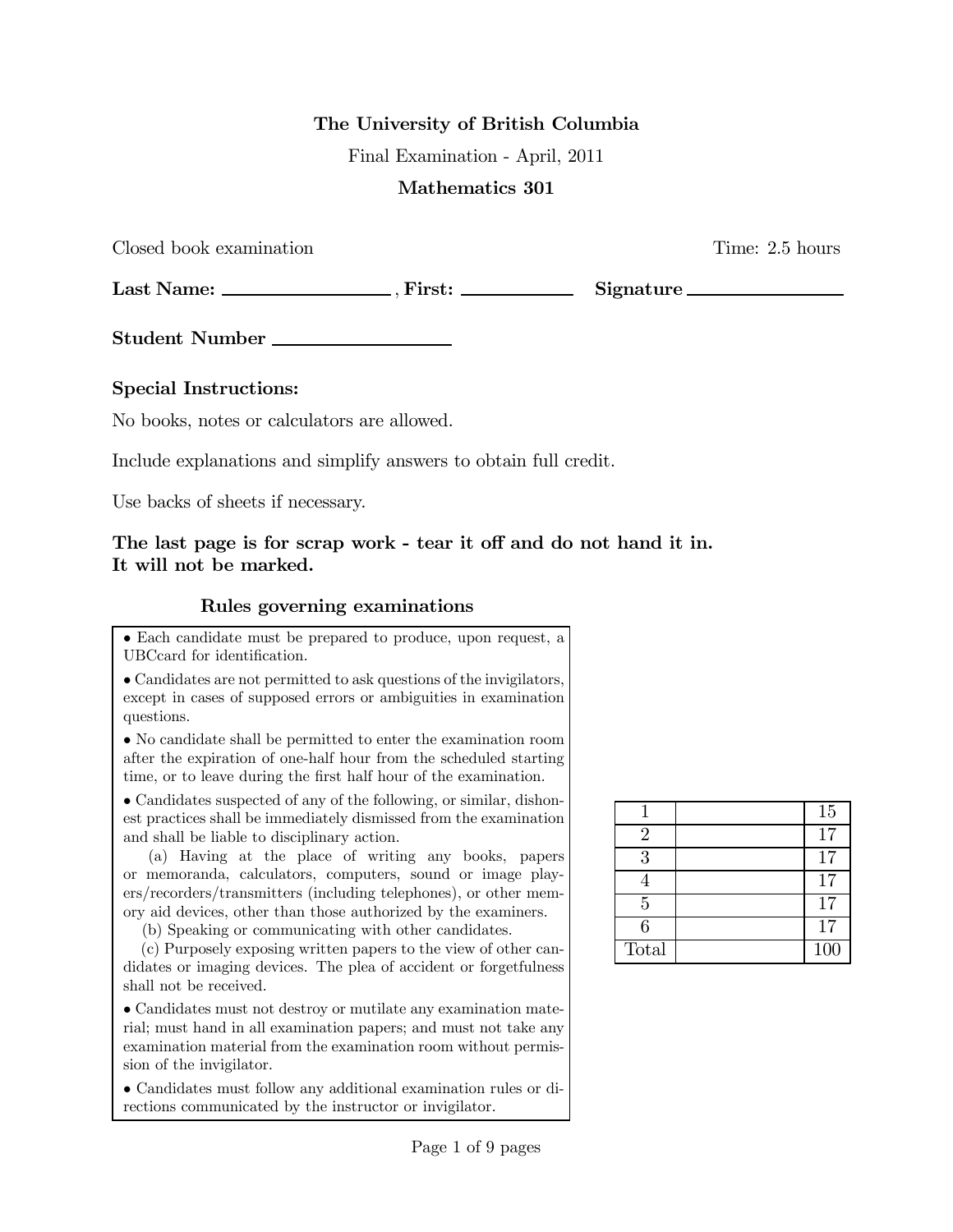### The University of British Columbia

Final Examination - April, 2011

### Mathematics 301

Closed book examination Time: 2.5 hours

Last Name: , First: Signature

Student Number

### Special Instructions:

No books, notes or calculators are allowed.

Include explanations and simplify answers to obtain full credit.

Use backs of sheets if necessary.

## The last page is for scrap work - tear it off and do not hand it in. It will not be marked.

### Rules governing examinations

• Each candidate must be prepared to produce, upon request, a UBCcard for identification.

• Candidates are not permitted to ask questions of the invigilators, except in cases of supposed errors or ambiguities in examination questions.

• No candidate shall be permitted to enter the examination room after the expiration of one-half hour from the scheduled starting time, or to leave during the first half hour of the examination.

• Candidates suspected of any of the following, or similar, dishonest practices shall be immediately dismissed from the examination and shall be liable to disciplinary action.

(a) Having at the place of writing any books, papers or memoranda, calculators, computers, sound or image players/recorders/transmitters (including telephones), or other memory aid devices, other than those authorized by the examiners.

(b) Speaking or communicating with other candidates.

(c) Purposely exposing written papers to the view of other candidates or imaging devices. The plea of accident or forgetfulness shall not be received.

• Candidates must not destroy or mutilate any examination material; must hand in all examination papers; and must not take any examination material from the examination room without permission of the invigilator.

• Candidates must follow any additional examination rules or directions communicated by the instructor or invigilator.

|                | 15  |
|----------------|-----|
| $\mathfrak{D}$ | 17  |
| 3              | 17  |
|                | 17  |
| 5              | 17  |
| 6              | 17  |
| Total          | 100 |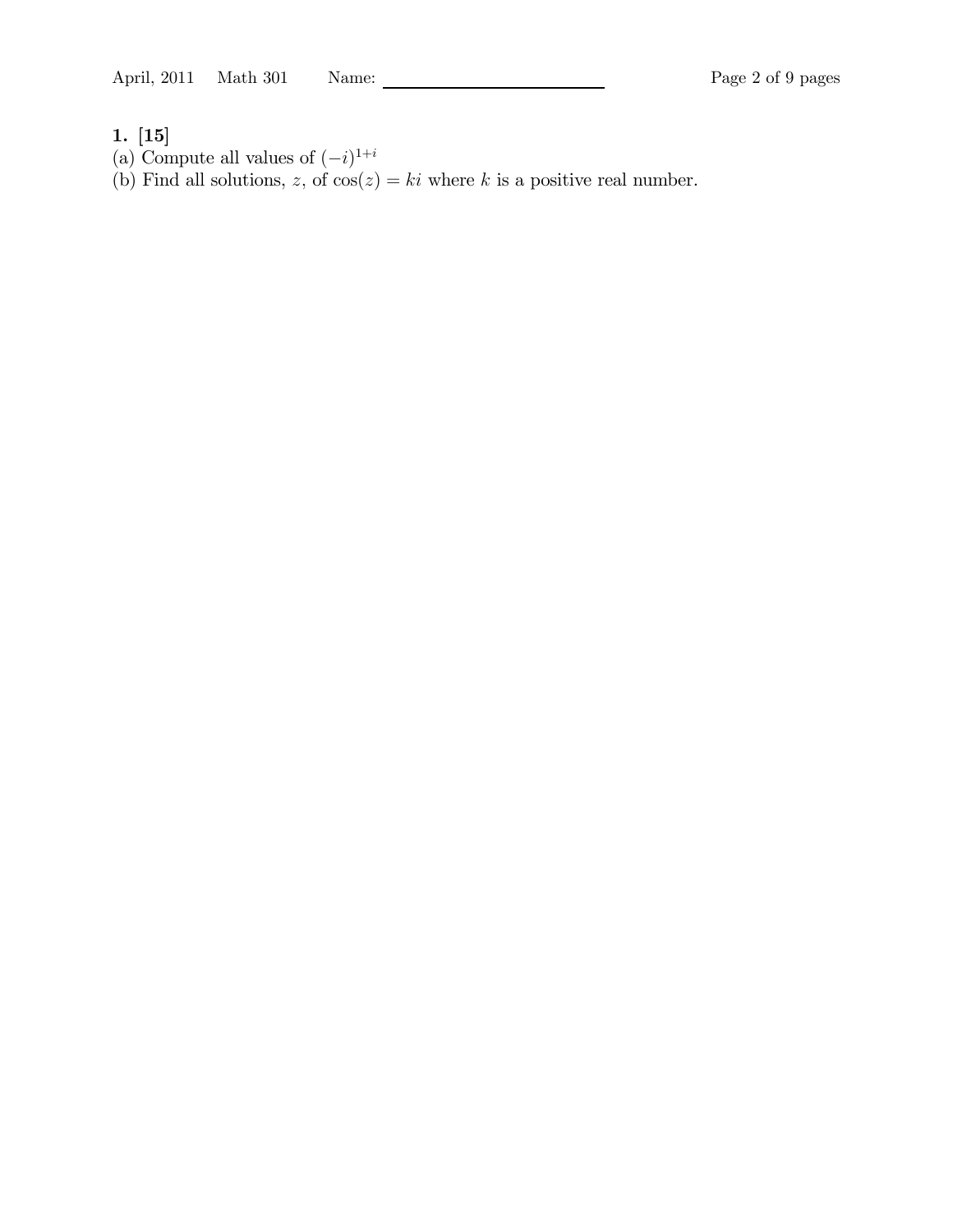#### 1. [15]

- (a) Compute all values of  $(-i)^{1+i}$
- (b) Find all solutions, z, of  $cos(z) = ki$  where k is a positive real number.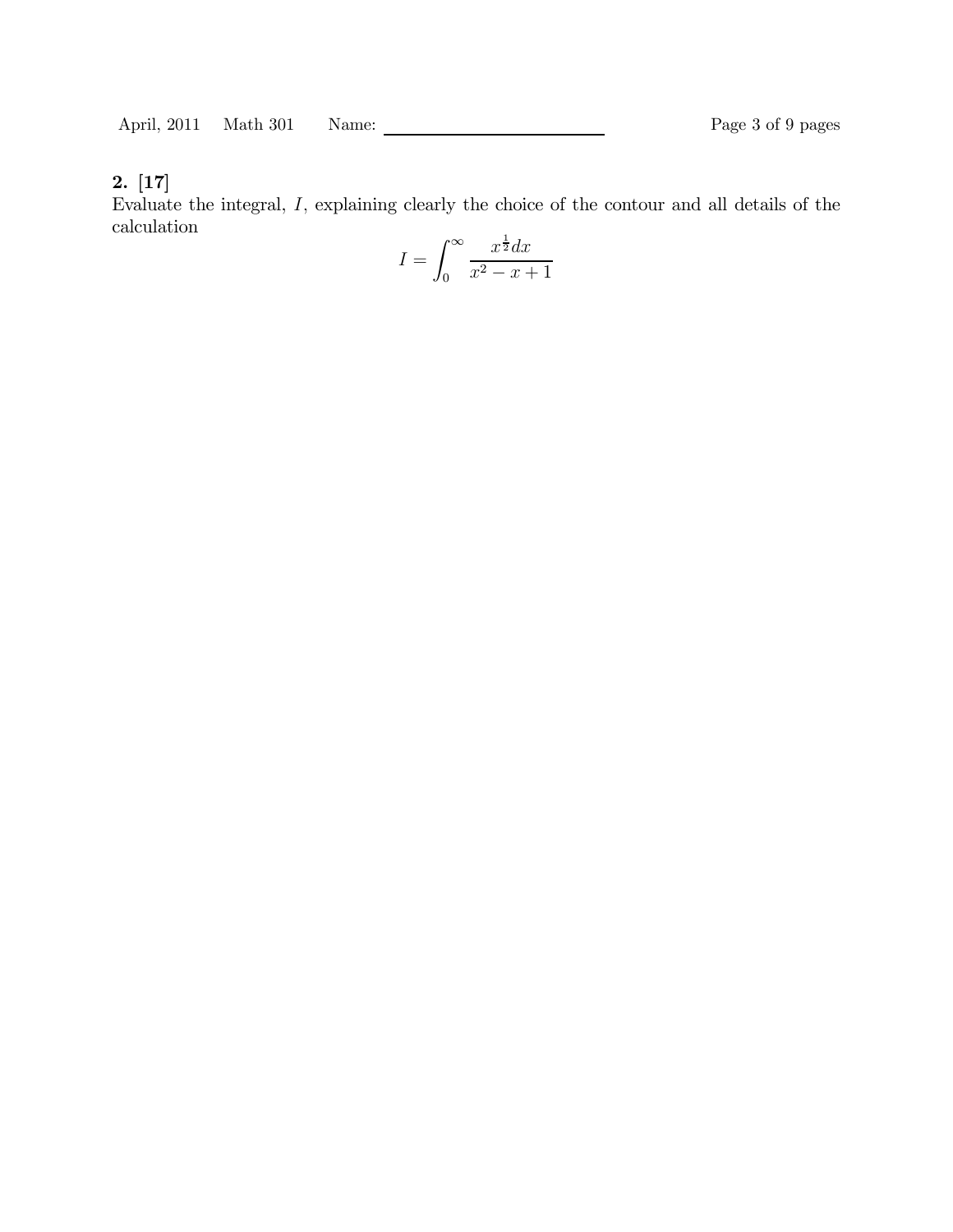Evaluate the integral,  $I$ , explaining clearly the choice of the contour and all details of the calculation

$$
I = \int_0^\infty \frac{x^{\frac{1}{2}} dx}{x^2 - x + 1}
$$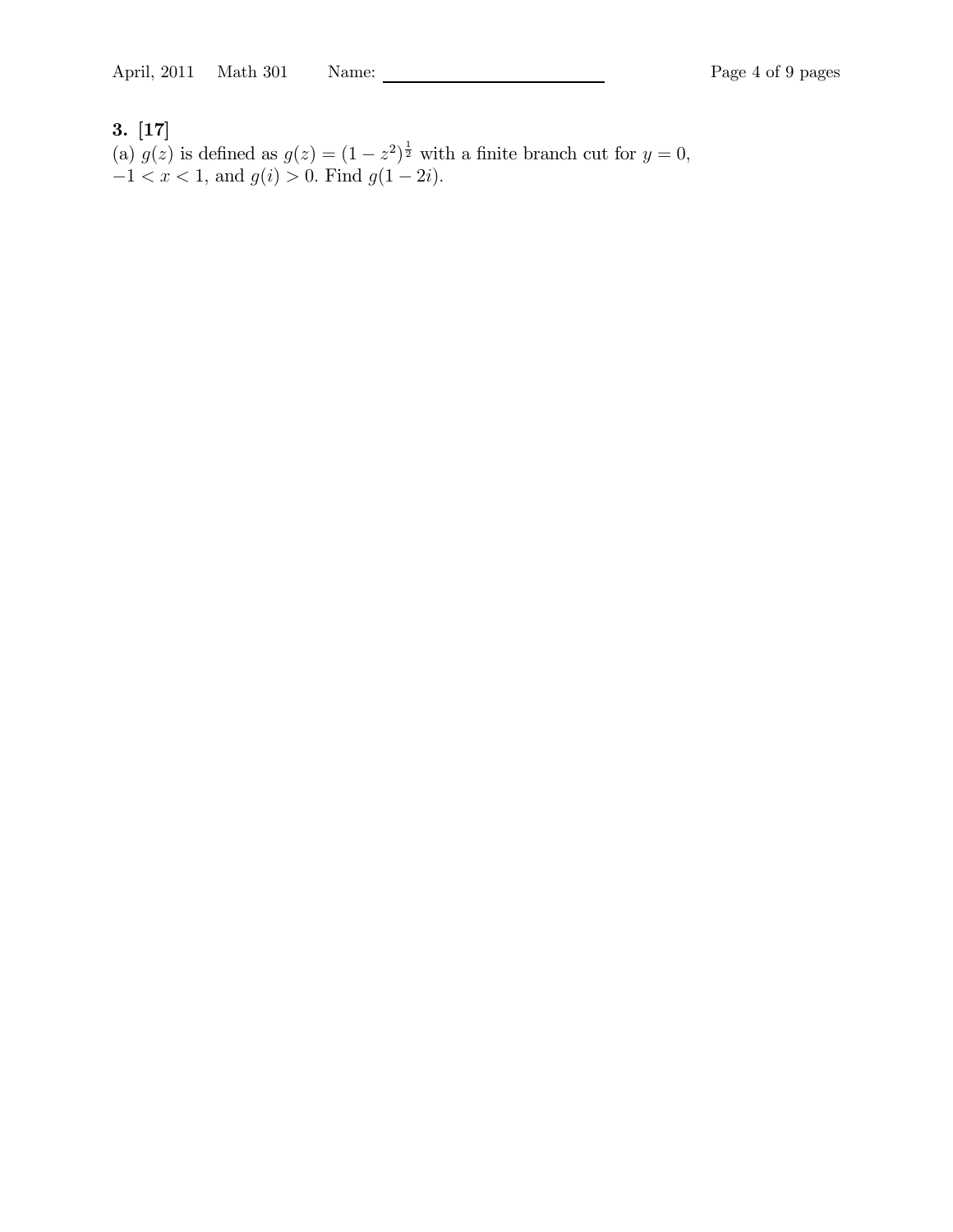(a)  $g(z)$  is defined as  $g(z) = (1 - z^2)^{\frac{1}{2}}$  with a finite branch cut for  $y = 0$ ,  $-1 < x < 1$ , and  $g(i) > 0$ . Find  $g(1 - 2i)$ .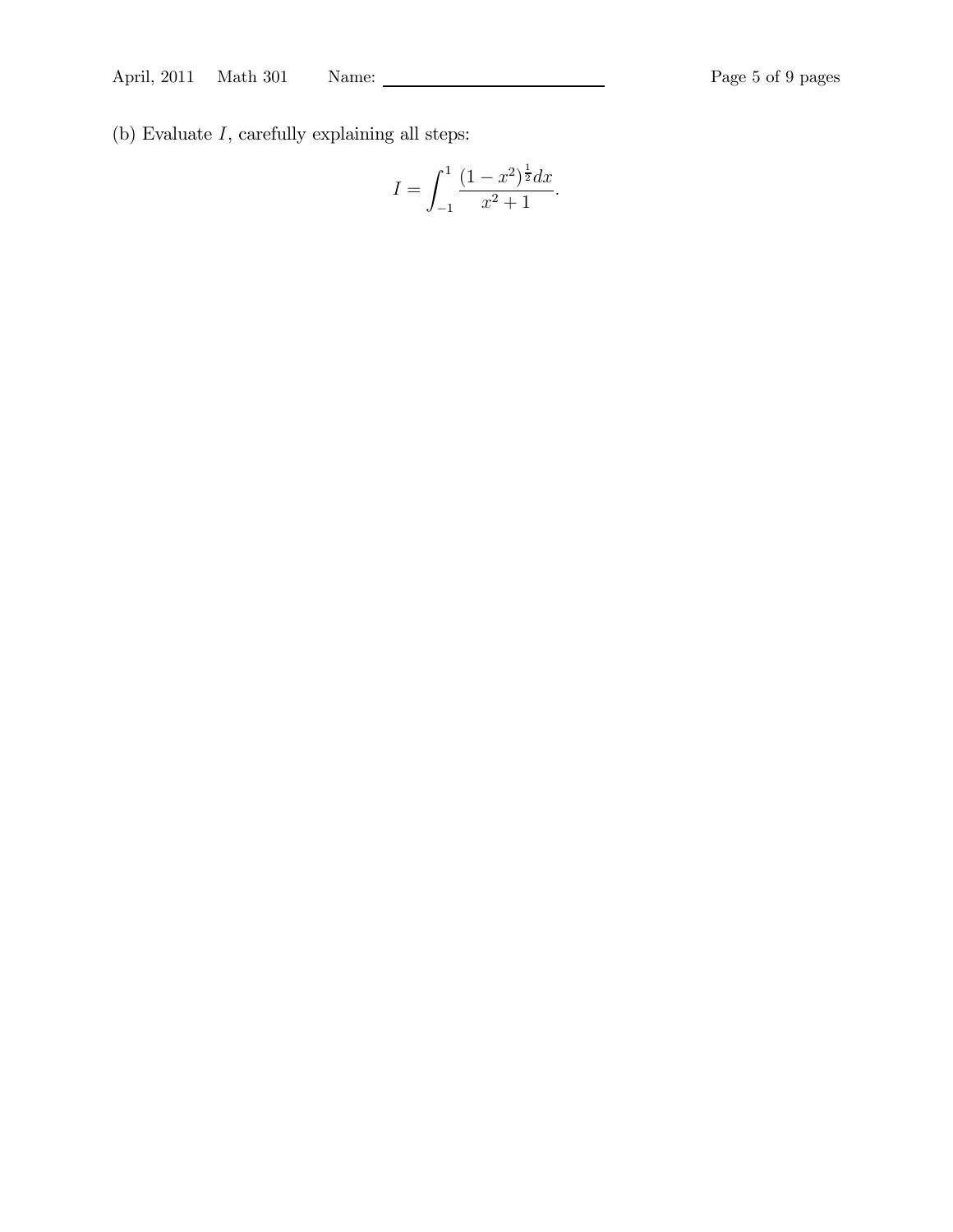(b) Evaluate  $I$ , carefully explaining all steps:

$$
I = \int_{-1}^{1} \frac{(1 - x^2)^{\frac{1}{2}} dx}{x^2 + 1}.
$$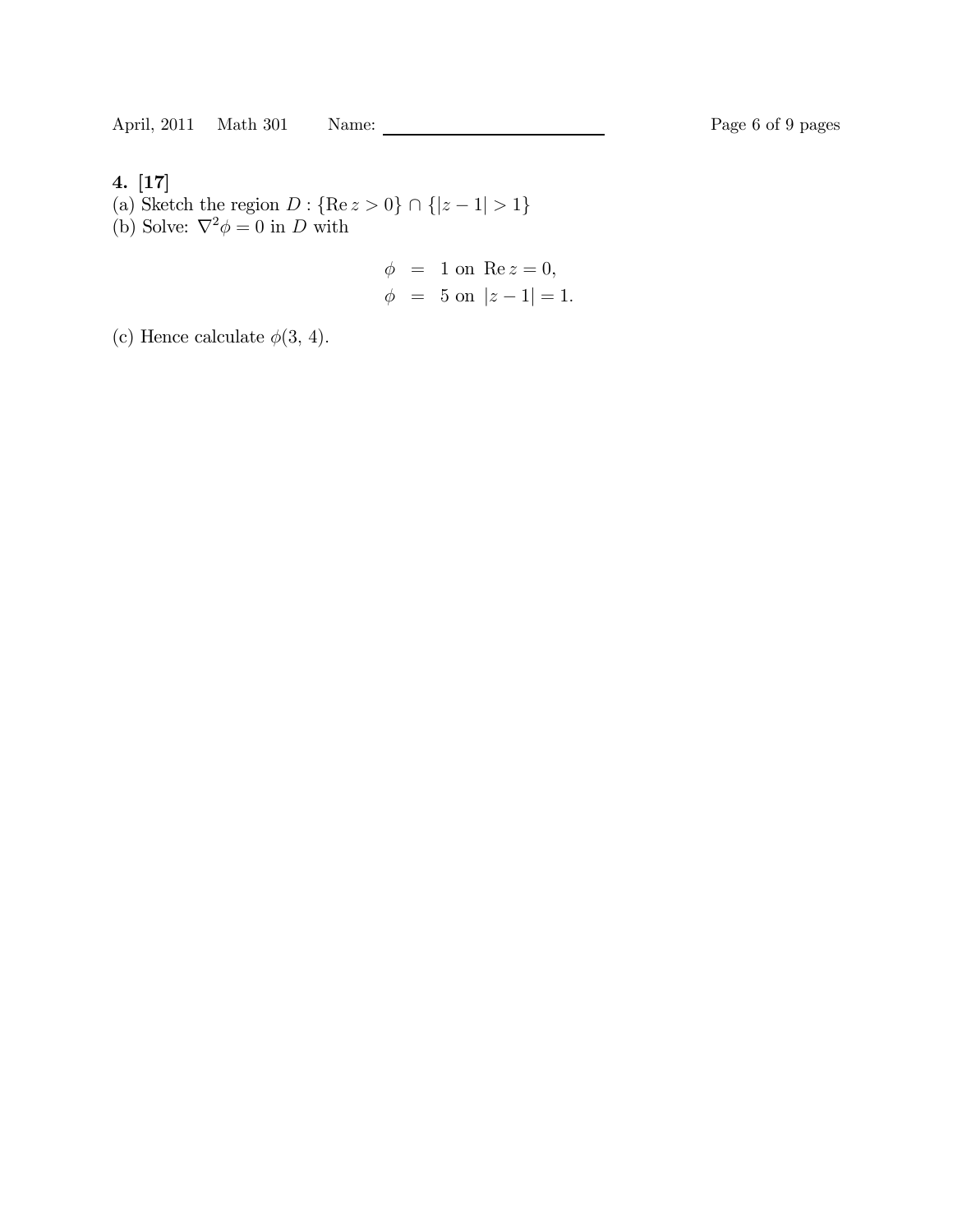- (a) Sketch the region  $D: \{ \text{Re } z > 0 \} \cap \{ |z 1| > 1 \}$
- (b) Solve:  $\nabla^2 \phi = 0$  in D with

$$
\phi = 1
$$
 on Re  $z = 0$ ,  
\n $\phi = 5$  on  $|z - 1| = 1$ .

(c) Hence calculate  $\phi(3, 4)$ .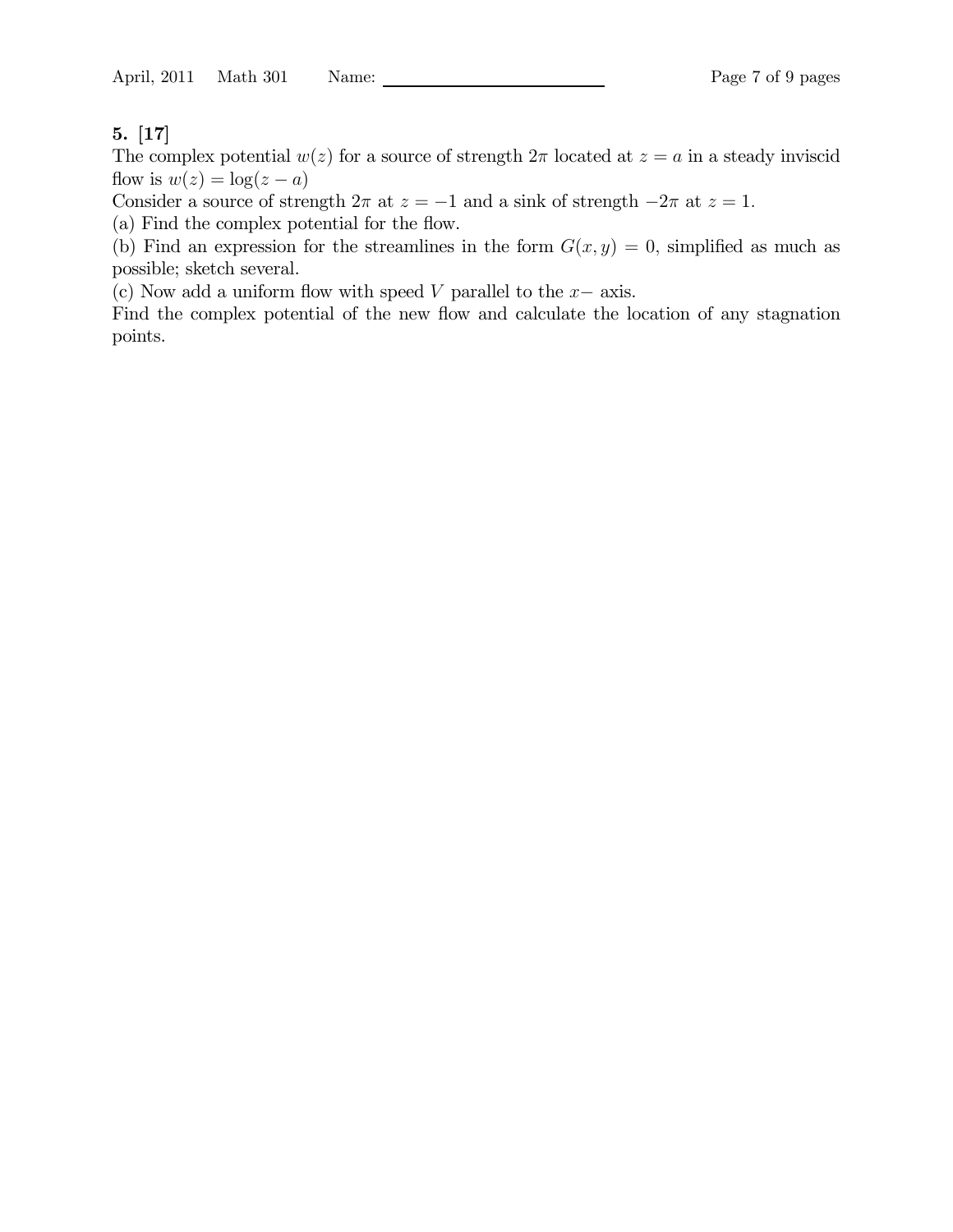The complex potential  $w(z)$  for a source of strength  $2\pi$  located at  $z = a$  in a steady inviscid flow is  $w(z) = \log(z - a)$ 

Consider a source of strength  $2\pi$  at  $z = -1$  and a sink of strength  $-2\pi$  at  $z = 1$ .

(a) Find the complex potential for the flow.

(b) Find an expression for the streamlines in the form  $G(x, y) = 0$ , simplified as much as possible; sketch several.

(c) Now add a uniform flow with speed  $V$  parallel to the  $x-$  axis.

Find the complex potential of the new flow and calculate the location of any stagnation points.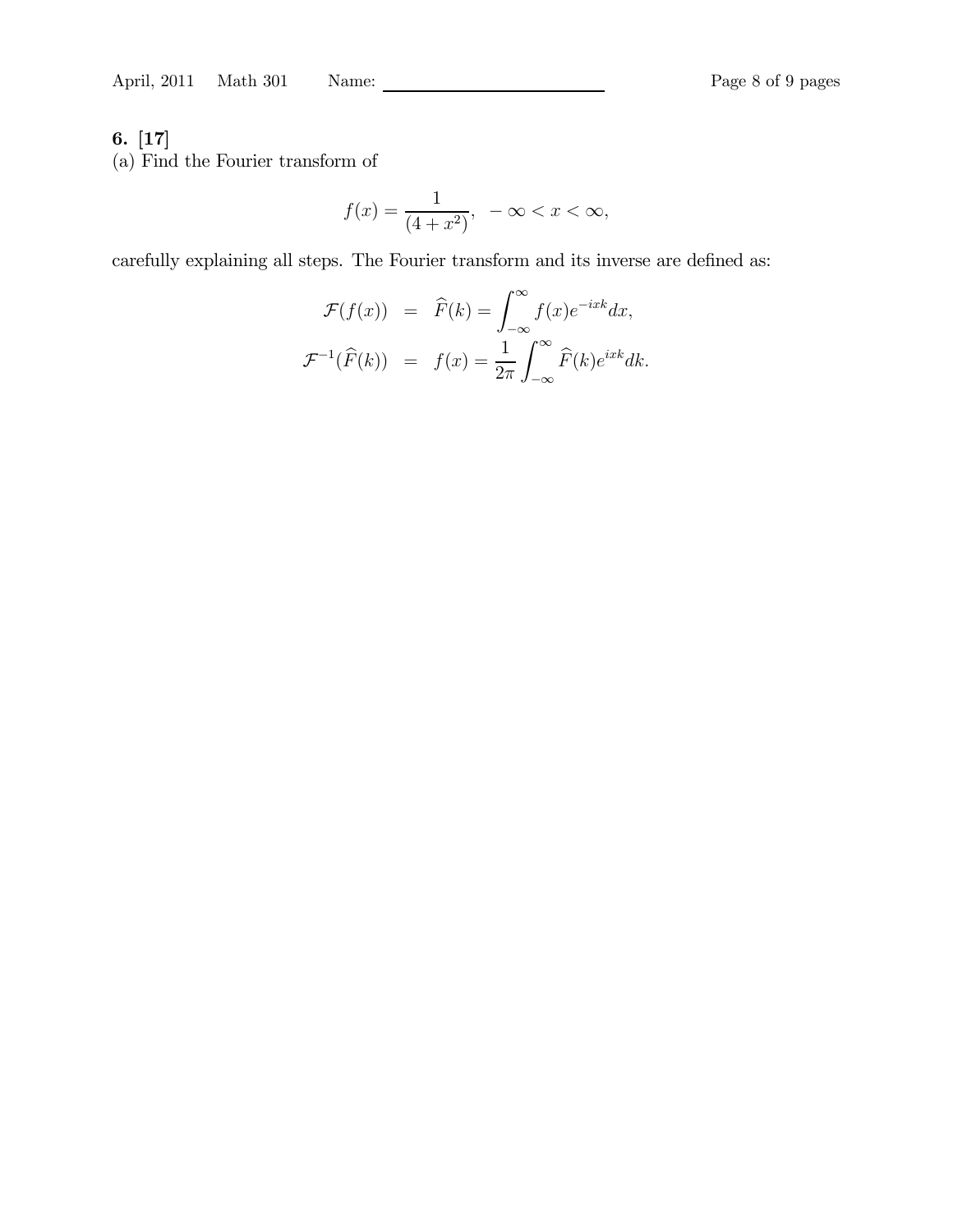(a) Find the Fourier transform of

$$
f(x) = \frac{1}{(4+x^2)}, \ -\infty < x < \infty,
$$

carefully explaining all steps. The Fourier transform and its inverse are defined as:

$$
\mathcal{F}(f(x)) = \widehat{F}(k) = \int_{-\infty}^{\infty} f(x)e^{-ixk}dx,
$$
  

$$
\mathcal{F}^{-1}(\widehat{F}(k)) = f(x) = \frac{1}{2\pi} \int_{-\infty}^{\infty} \widehat{F}(k)e^{ixk}dk.
$$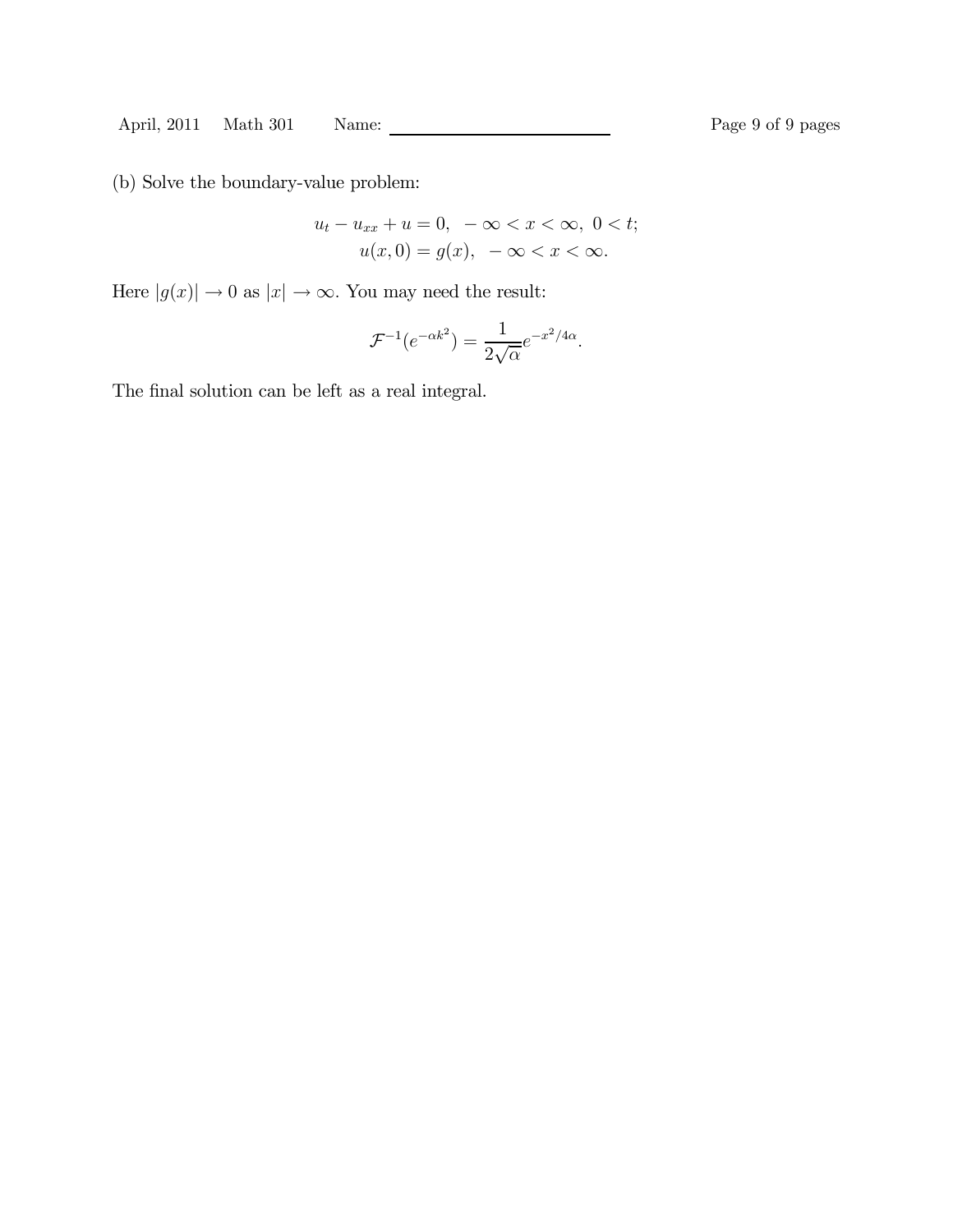(b) Solve the boundary-value problem:

$$
u_t - u_{xx} + u = 0, \ -\infty < x < \infty, \ 0 < t;
$$
\n
$$
u(x, 0) = g(x), \ -\infty < x < \infty.
$$

Here  $|g(x)| \to 0$  as  $|x| \to \infty.$  You may need the result:

$$
\mathcal{F}^{-1}(e^{-\alpha k^2}) = \frac{1}{2\sqrt{\alpha}}e^{-x^2/4\alpha}.
$$

The final solution can be left as a real integral.